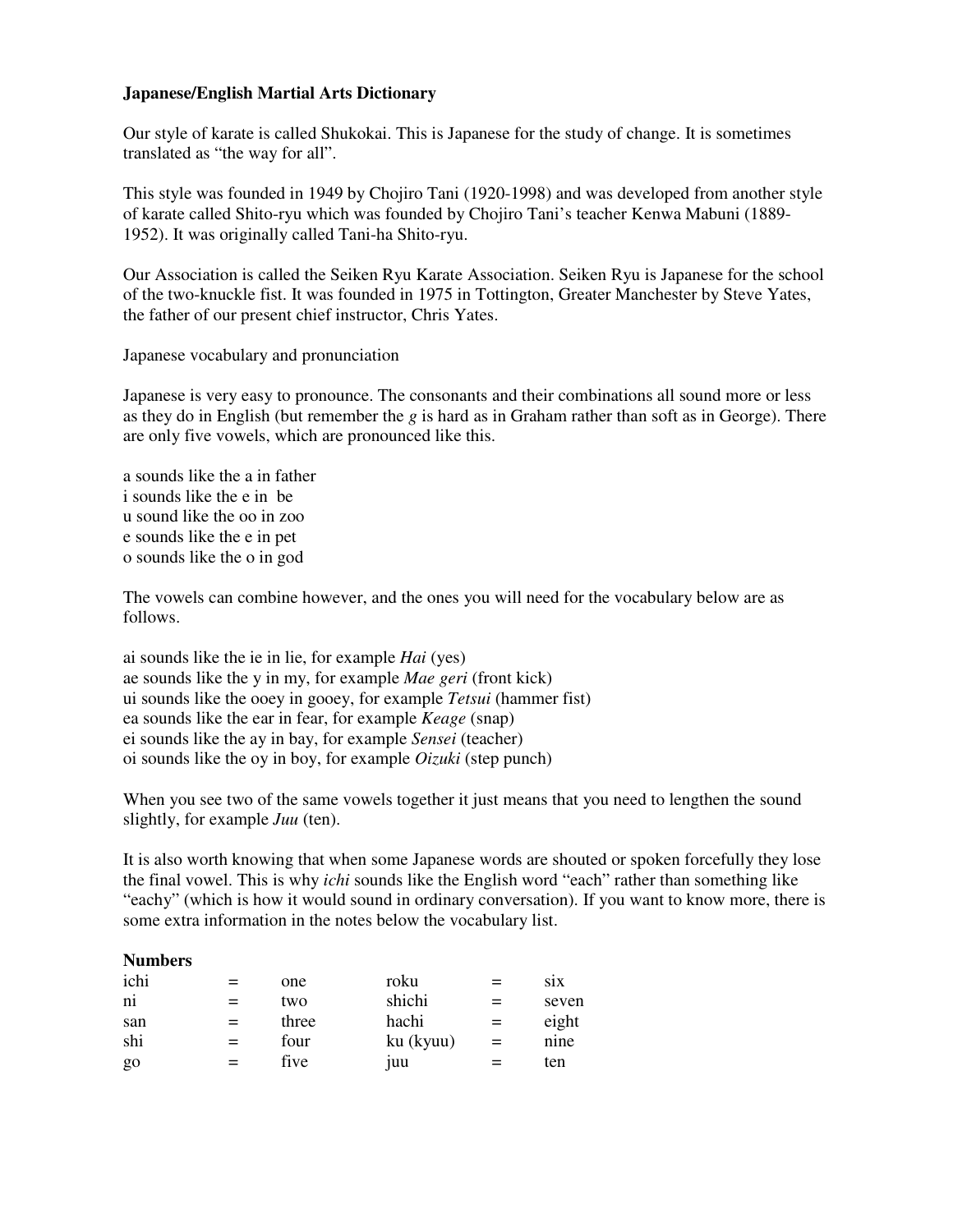## **Japanese/English Martial Arts Dictionary**

Our style of karate is called Shukokai. This is Japanese for the study of change. It is sometimes translated as "the way for all".

This style was founded in 1949 by Chojiro Tani (1920-1998) and was developed from another style of karate called Shito-ryu which was founded by Chojiro Tani's teacher Kenwa Mabuni (1889- 1952). It was originally called Tani-ha Shito-ryu.

Our Association is called the Seiken Ryu Karate Association. Seiken Ryu is Japanese for the school of the two-knuckle fist. It was founded in 1975 in Tottington, Greater Manchester by Steve Yates, the father of our present chief instructor, Chris Yates.

Japanese vocabulary and pronunciation

Japanese is very easy to pronounce. The consonants and their combinations all sound more or less as they do in English (but remember the *g* is hard as in Graham rather than soft as in George). There are only five vowels, which are pronounced like this.

a sounds like the a in father i sounds like the e in be u sound like the oo in zoo e sounds like the e in pet o sounds like the o in god

The vowels can combine however, and the ones you will need for the vocabulary below are as follows.

ai sounds like the ie in lie, for example *Hai* (yes) ae sounds like the y in my, for example *Mae geri* (front kick) ui sounds like the ooey in gooey, for example *Tetsui* (hammer fist) ea sounds like the ear in fear, for example *Keage* (snap) ei sounds like the ay in bay, for example *Sensei* (teacher) oi sounds like the oy in boy, for example *Oizuki* (step punch)

When you see two of the same vowels together it just means that you need to lengthen the sound slightly, for example *Juu* (ten).

It is also worth knowing that when some Japanese words are shouted or spoken forcefully they lose the final vowel. This is why *ichi* sounds like the English word "each" rather than something like "eachy" (which is how it would sound in ordinary conversation). If you want to know more, there is some extra information in the notes below the vocabulary list.

| one   | roku       | $=$ | $\overline{S1X}$ |
|-------|------------|-----|------------------|
| two   | shichi     |     | seven            |
| three | hachi      | $=$ | eight            |
| four  | ku (kyuu)  | $=$ | nine             |
| five  | <b>juu</b> |     | ten              |
|       |            |     |                  |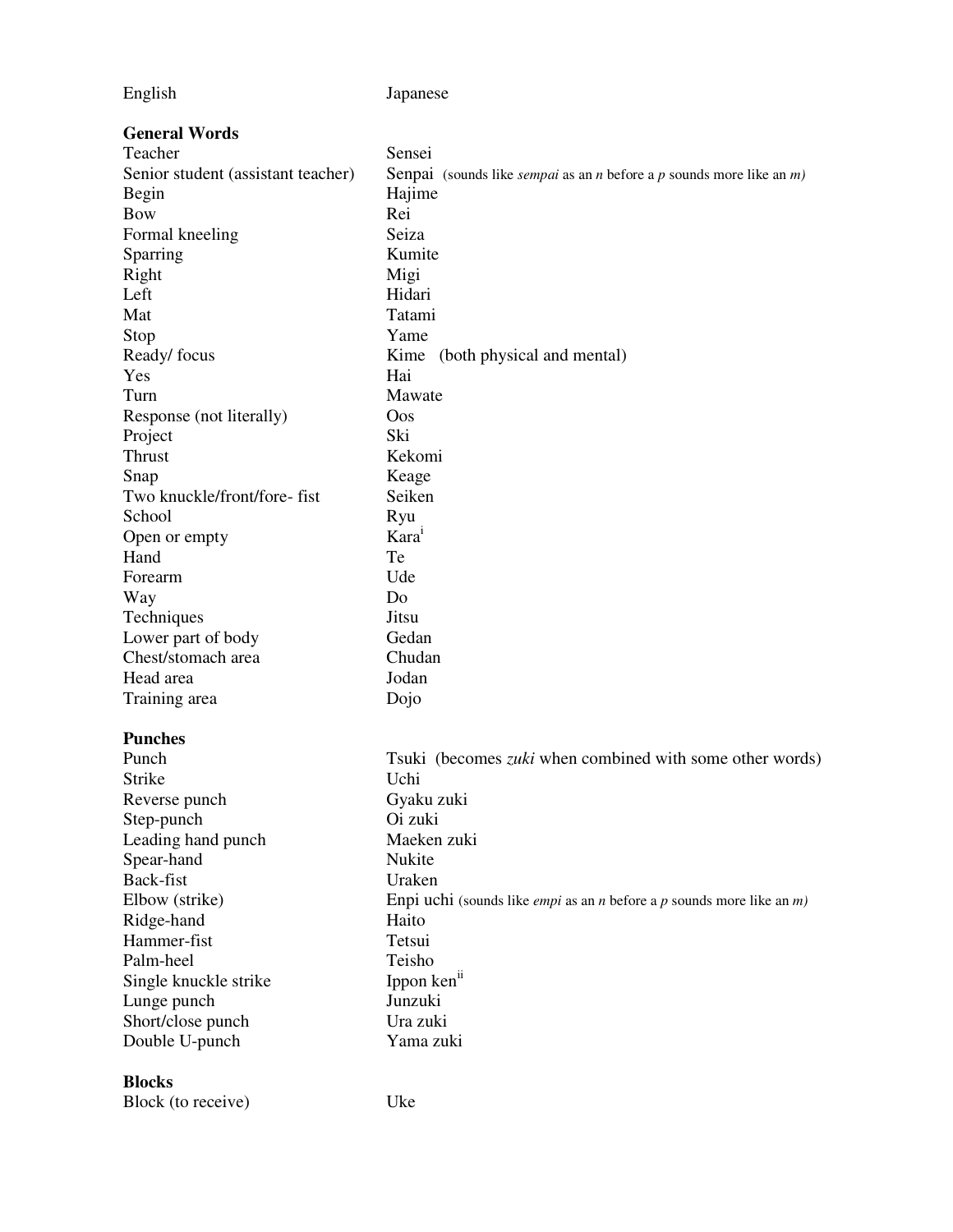English Japanese

| <b>General Words</b>               |                                                                                                    |
|------------------------------------|----------------------------------------------------------------------------------------------------|
| Teacher                            | Sensei                                                                                             |
| Senior student (assistant teacher) | Senpai (sounds like <i>sempai</i> as an <i>n</i> before a <i>p</i> sounds more like an $m$ )       |
| Begin                              | Hajime                                                                                             |
| <b>Bow</b>                         | Rei                                                                                                |
| Formal kneeling                    | Seiza                                                                                              |
| Sparring                           | Kumite                                                                                             |
| Right                              | Migi                                                                                               |
| Left                               | Hidari                                                                                             |
| Mat                                | Tatami                                                                                             |
| Stop                               | Yame                                                                                               |
| Ready/ focus                       | Kime<br>(both physical and mental)                                                                 |
| Yes                                | Hai                                                                                                |
| Turn                               | Mawate                                                                                             |
| Response (not literally)           | Oos                                                                                                |
| Project                            | Ski                                                                                                |
| Thrust                             | Kekomi                                                                                             |
| Snap                               | Keage                                                                                              |
| Two knuckle/front/fore-fist        | Seiken                                                                                             |
| School                             | Ryu                                                                                                |
| Open or empty                      | Kara <sup>1</sup>                                                                                  |
| Hand                               | Te                                                                                                 |
| Forearm                            | Ude                                                                                                |
| Way                                | Do                                                                                                 |
| Techniques                         | Jitsu                                                                                              |
| Lower part of body                 | Gedan                                                                                              |
| Chest/stomach area                 | Chudan                                                                                             |
| Head area                          | Jodan                                                                                              |
| Training area                      | Dojo                                                                                               |
|                                    |                                                                                                    |
| <b>Punches</b>                     |                                                                                                    |
| Punch                              | Tsuki (becomes <i>zuki</i> when combined with some other words)                                    |
| Strike                             | Uchi                                                                                               |
| Reverse punch                      | Gyaku zuki                                                                                         |
| Step-punch                         | Oi zuki                                                                                            |
| Leading hand punch                 | Maeken zuki                                                                                        |
| Spear-hand                         | Nukite                                                                                             |
| Back-fist                          | Uraken                                                                                             |
| Elbow (strike)                     | Enpi uchi (sounds like <i>empi</i> as an <i>n</i> before a <i>p</i> sounds more like an <i>m</i> ) |
| Ridge-hand                         | Haito                                                                                              |
| Hammer-fist                        | Tetsui                                                                                             |
| Palm-heel                          | Teisho                                                                                             |
| Single knuckle strike              | Ippon ken <sup>ii</sup>                                                                            |
| Lunge punch                        | Junzuki                                                                                            |
| Short/close punch                  | Ura zuki                                                                                           |
| Double U-punch                     | Yama zuki                                                                                          |
|                                    |                                                                                                    |
| <b>Blocks</b>                      |                                                                                                    |
| Block (to receive)                 | Uke                                                                                                |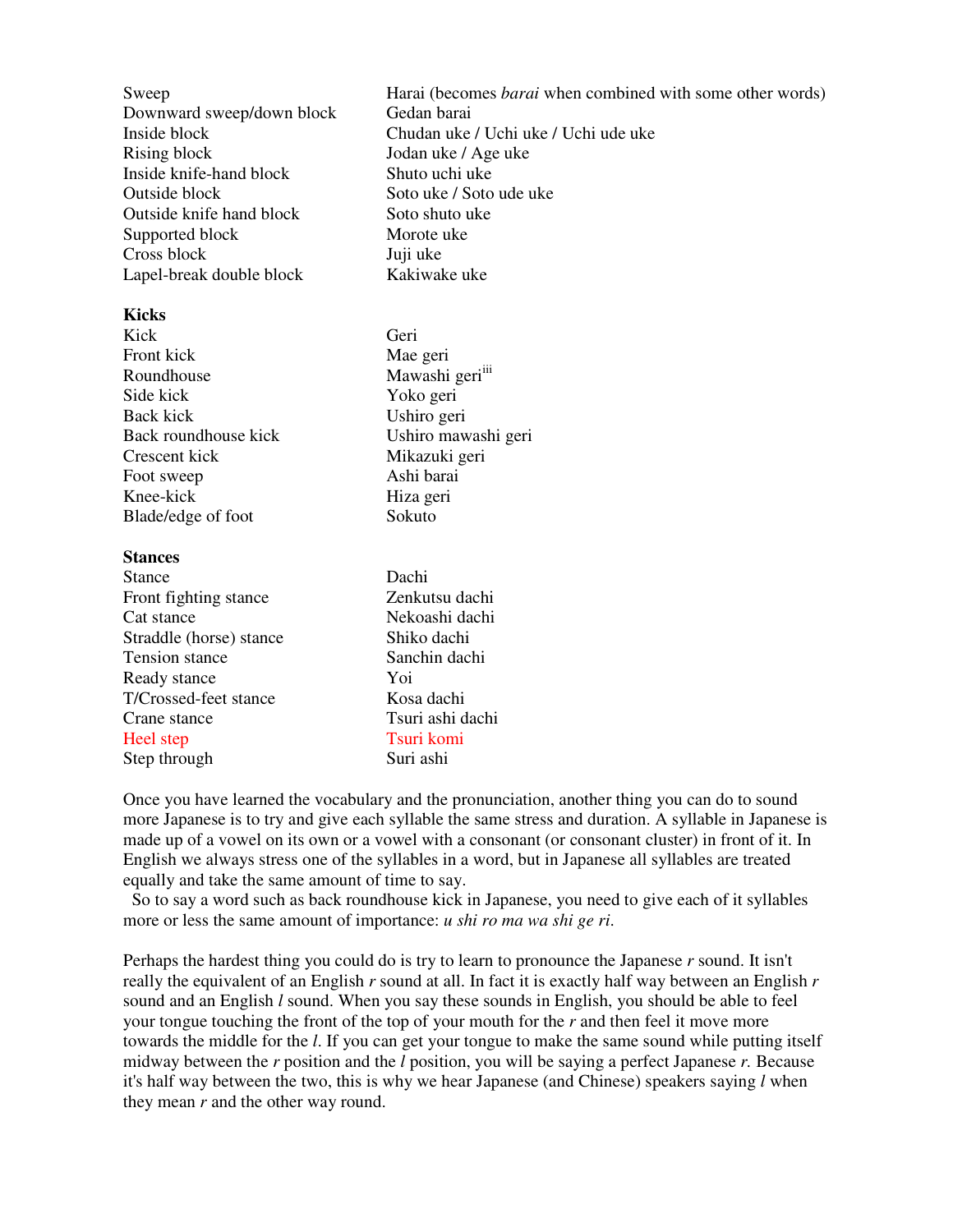| Sweep                     | Harai (becomes <i>barai</i> when combined with some other words) |
|---------------------------|------------------------------------------------------------------|
| Downward sweep/down block | Gedan barai                                                      |
| Inside block              | Chudan uke / Uchi uke / Uchi ude uke                             |
| Rising block              | Jodan uke / Age uke                                              |
| Inside knife-hand block   | Shuto uchi uke                                                   |
| Outside block             | Soto uke / Soto ude uke                                          |
| Outside knife hand block  | Soto shuto uke                                                   |
| Supported block           | Morote uke                                                       |
| Cross block               | Juji uke                                                         |
| Lapel-break double block  | Kakiwake uke                                                     |
|                           |                                                                  |

## **Kicks**

| Kick                 | Geri                        |
|----------------------|-----------------------------|
| Front kick           | Mae geri                    |
| Roundhouse           | Mawashi geri <sup>iii</sup> |
| Side kick            | Yoko geri                   |
| Back kick            | Ushiro geri                 |
| Back roundhouse kick | Ushiro mawashi geri         |
| Crescent kick        | Mikazuki geri               |
| Foot sweep           | Ashi barai                  |
| Knee-kick            | Hiza geri                   |
| Blade/edge of foot   | Sokuto                      |
| <b>Stances</b>       |                             |
| Stance               | Dachi                       |

| Stance                  | Dachi            |
|-------------------------|------------------|
| Front fighting stance   | Zenkutsu dachi   |
| Cat stance              | Nekoashi dachi   |
| Straddle (horse) stance | Shiko dachi      |
| Tension stance          | Sanchin dachi    |
| Ready stance            | Yoi              |
| T/Crossed-feet stance   | Kosa dachi       |
| Crane stance            | Tsuri ashi dachi |
| Heel step               | Tsuri komi       |
| Step through            | Suri ashi        |
|                         |                  |

Once you have learned the vocabulary and the pronunciation, another thing you can do to sound more Japanese is to try and give each syllable the same stress and duration. A syllable in Japanese is made up of a vowel on its own or a vowel with a consonant (or consonant cluster) in front of it. In English we always stress one of the syllables in a word, but in Japanese all syllables are treated equally and take the same amount of time to say.

 So to say a word such as back roundhouse kick in Japanese, you need to give each of it syllables more or less the same amount of importance: *u shi ro ma wa shi ge ri*.

Perhaps the hardest thing you could do is try to learn to pronounce the Japanese *r* sound. It isn't really the equivalent of an English *r* sound at all. In fact it is exactly half way between an English *r* sound and an English *l* sound. When you say these sounds in English, you should be able to feel your tongue touching the front of the top of your mouth for the *r* and then feel it move more towards the middle for the *l*. If you can get your tongue to make the same sound while putting itself midway between the *r* position and the *l* position, you will be saying a perfect Japanese *r.* Because it's half way between the two, this is why we hear Japanese (and Chinese) speakers saying *l* when they mean *r* and the other way round.